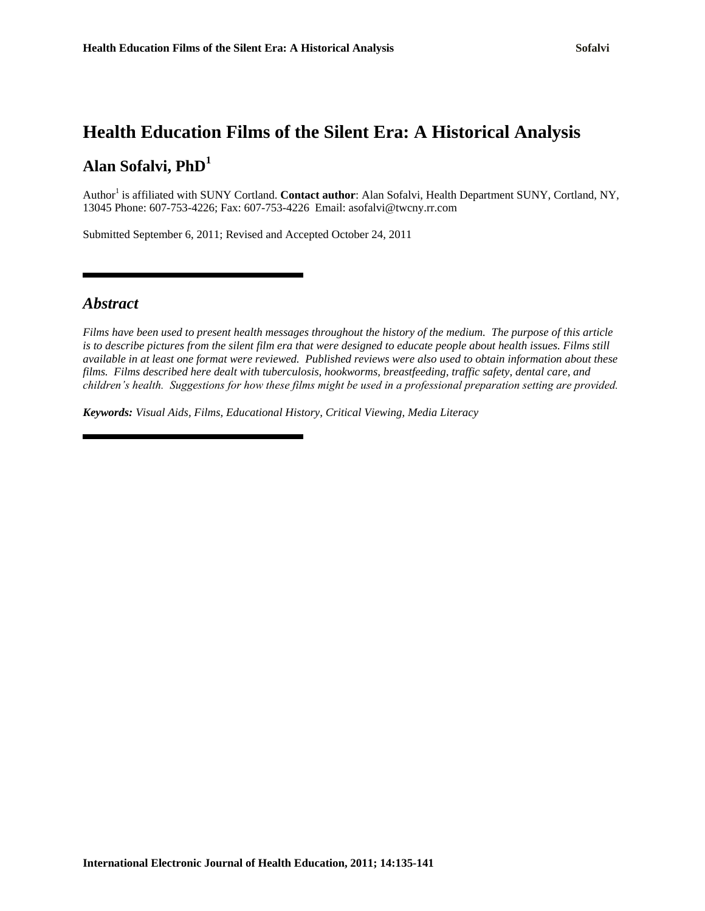# **Health Education Films of the Silent Era: A Historical Analysis Alan Sofalvi, PhD<sup>1</sup>**

Author<sup>1</sup> is affiliated with SUNY Cortland. **Contact author**: Alan Sofalvi, Health Department SUNY, Cortland, NY, 13045 Phone: 607-753-4226; Fax: 607-753-4226 Email: asofalvi@twcny.rr.com

Submitted September 6, 2011; Revised and Accepted October 24, 2011

#### *Abstract*

*Films have been used to present health messages throughout the history of the medium. The purpose of this article is to describe pictures from the silent film era that were designed to educate people about health issues. Films still available in at least one format were reviewed. Published reviews were also used to obtain information about these films. Films described here dealt with tuberculosis, hookworms, breastfeeding, traffic safety, dental care, and children's health. Suggestions for how these films might be used in a professional preparation setting are provided.* 

*Keywords: Visual Aids, Films, Educational History, Critical Viewing, Media Literacy*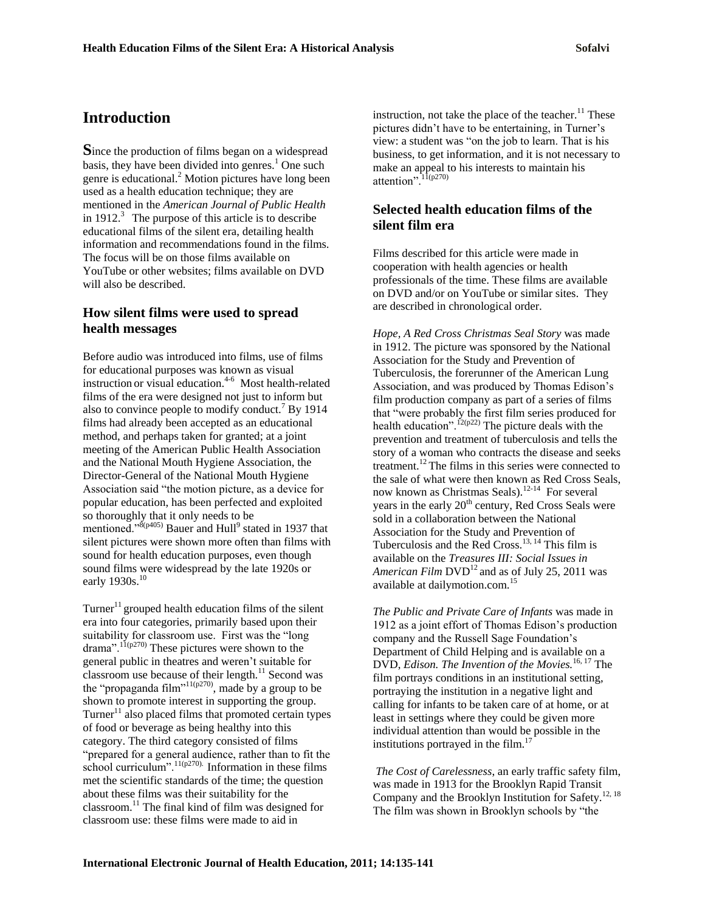## **Introduction**

**S**ince the production of films began on a widespread basis, they have been divided into genres. $<sup>1</sup>$  One such</sup> genre is educational.<sup>2</sup> Motion pictures have long been used as a health education technique; they are mentioned in the *American Journal of Public Health* in 1912.<sup>3</sup> The purpose of this article is to describe educational films of the silent era, detailing health information and recommendations found in the films. The focus will be on those films available on YouTube or other websites; films available on DVD will also be described.

#### **How silent films were used to spread health messages**

Before audio was introduced into films, use of films for educational purposes was known as visual instruction or visual education.<sup>4-6</sup> Most health-related films of the era were designed not just to inform but also to convince people to modify conduct.<sup>7</sup> By 1914 films had already been accepted as an educational method, and perhaps taken for granted; at a joint meeting of the American Public Health Association and the National Mouth Hygiene Association, the Director-General of the National Mouth Hygiene Association said "the motion picture, as a device for popular education, has been perfected and exploited so thoroughly that it only needs to be mentioned." $8(p405)$  Bauer and Hull<sup>9</sup> stated in 1937 that silent pictures were shown more often than films with sound for health education purposes, even though sound films were widespread by the late 1920s or early 1930s.<sup>10</sup>

Turner<sup>11</sup> grouped health education films of the silent era into four categories, primarily based upon their suitability for classroom use. First was the "long drama".<sup>11(p270)</sup> These pictures were shown to the general public in theatres and weren"t suitable for classroom use because of their length.<sup>11</sup> Second was the "propaganda film"<sup>11(p270)</sup>, made by a group to be shown to promote interest in supporting the group. Turner $11$  also placed films that promoted certain types of food or beverage as being healthy into this category. The third category consisted of films "prepared for a general audience, rather than to fit the school curriculum".<sup>11(p270)</sup> Information in these films met the scientific standards of the time; the question about these films was their suitability for the classroom.<sup>11</sup> The final kind of film was designed for classroom use: these films were made to aid in

instruction, not take the place of the teacher. $11$  These pictures didn't have to be entertaining, in Turner's view: a student was "on the job to learn. That is his business, to get information, and it is not necessary to make an appeal to his interests to maintain his attention".  $11(p270)$ 

### **Selected health education films of the silent film era**

Films described for this article were made in cooperation with health agencies or health professionals of the time. These films are available on DVD and/or on YouTube or similar sites. They are described in chronological order.

*Hope, A Red Cross Christmas Seal Story* was made in 1912. The picture was sponsored by the National Association for the Study and Prevention of Tuberculosis, the forerunner of the American Lung Association, and was produced by Thomas Edison"s film production company as part of a series of films that "were probably the first film series produced for health education".<sup>12(p22)</sup> The picture deals with the prevention and treatment of tuberculosis and tells the story of a woman who contracts the disease and seeks treatment.<sup>12</sup> The films in this series were connected to the sale of what were then known as Red Cross Seals, now known as Christmas Seals).<sup>12-14</sup> For several years in the early  $20<sup>th</sup>$  century, Red Cross Seals were sold in a collaboration between the National Association for the Study and Prevention of Tuberculosis and the Red Cross.<sup>13, 14</sup> This film is available on the *Treasures III: Social Issues in*  American Film DVD<sup>12</sup> and as of July 25, 2011 was available at dailymotion.com.<sup>15</sup>

*The Public and Private Care of Infants* was made in 1912 as a joint effort of Thomas Edison"s production company and the Russell Sage Foundation"s Department of Child Helping and is available on a DVD, *Edison. The Invention of the Movies.*16, 17 The film portrays conditions in an institutional setting, portraying the institution in a negative light and calling for infants to be taken care of at home, or at least in settings where they could be given more individual attention than would be possible in the institutions portrayed in the film. $<sup>1</sup>$ </sup>

*The Cost of Carelessness*, an early traffic safety film, was made in 1913 for the Brooklyn Rapid Transit Company and the Brooklyn Institution for Safety.<sup>12, 18</sup> The film was shown in Brooklyn schools by "the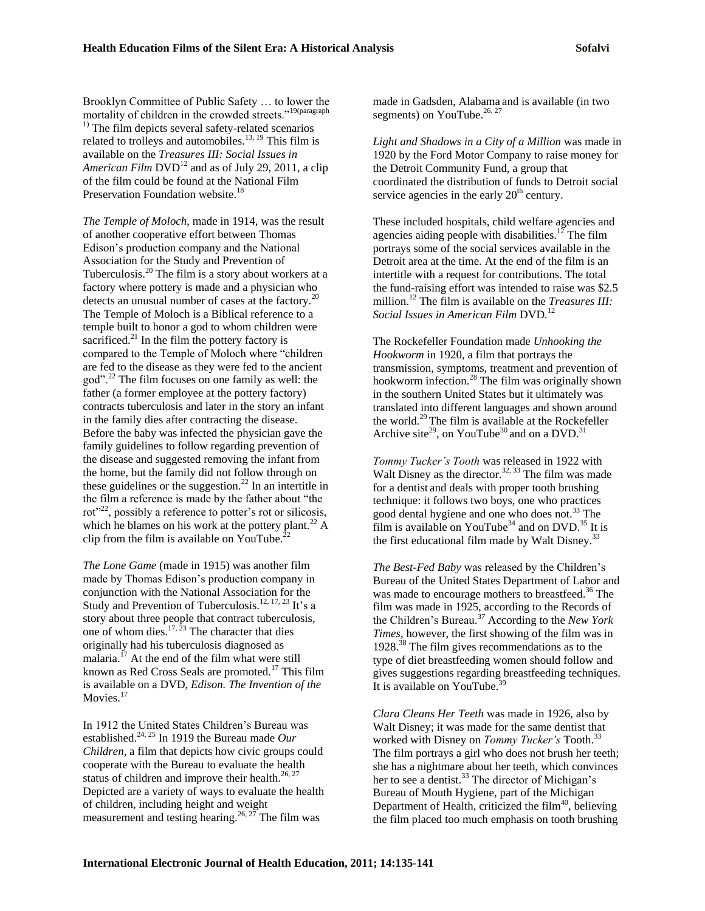Brooklyn Committee of Public Safety … to lower the mortality of children in the crowded streets."19(paragraph <sup>1)</sup> The film depicts several safety-related scenarios related to trolleys and automobiles.<sup>13, 19</sup> This film is available on the *Treasures III: Social Issues in*  American Film DVD<sup>12</sup> and as of July 29, 2011, a clip of the film could be found at the National Film Preservation Foundation website.<sup>18</sup>

*The Temple of Moloch*, made in 1914, was the result of another cooperative effort between Thomas Edison"s production company and the National Association for the Study and Prevention of Tuberculosis. $^{20}$  The film is a story about workers at a factory where pottery is made and a physician who detects an unusual number of cases at the factory.<sup>20</sup> The Temple of Moloch is a Biblical reference to a temple built to honor a god to whom children were sacrificed. $^{21}$  In the film the pottery factory is compared to the Temple of Moloch where "children are fed to the disease as they were fed to the ancient god".<sup>22</sup> The film focuses on one family as well: the father (a former employee at the pottery factory) contracts tuberculosis and later in the story an infant in the family dies after contracting the disease. Before the baby was infected the physician gave the family guidelines to follow regarding prevention of the disease and suggested removing the infant from the home, but the family did not follow through on these guidelines or the suggestion.<sup>22</sup> In an intertitle in the film a reference is made by the father about "the rot"<sup>22</sup>, possibly a reference to potter's rot or silicosis, which he blames on his work at the pottery plant.<sup>22</sup> A clip from the film is available on YouTube. $^{2}$ 

*The Lone Game* (made in 1915) was another film made by Thomas Edison"s production company in conjunction with the National Association for the Study and Prevention of Tuberculosis.<sup>12, 17, 23</sup> It's a story about three people that contract tuberculosis, one of whom dies. $17, 23$  The character that dies originally had his tuberculosis diagnosed as malaria.<sup>17</sup> At the end of the film what were still known as Red Cross Seals are promoted.<sup>17</sup> This film is available on a DVD, *Edison. The Invention of the*  Movies.<sup>17</sup>

In 1912 the United States Children"s Bureau was established.24, 25 In 1919 the Bureau made *Our Children*, a film that depicts how civic groups could cooperate with the Bureau to evaluate the health status of children and improve their health.<sup>26, 27</sup> Depicted are a variety of ways to evaluate the health of children, including height and weight measurement and testing hearing.<sup>26, 27</sup> The film was

made in Gadsden, Alabama and is available (in two segments) on YouTube. $26, 27$ 

*Light and Shadows in a City of a Million* was made in 1920 by the Ford Motor Company to raise money for the Detroit Community Fund, a group that coordinated the distribution of funds to Detroit social service agencies in the early  $20<sup>th</sup>$  century.

These included hospitals, child welfare agencies and agencies aiding people with disabilities.<sup>12</sup> The film portrays some of the social services available in the Detroit area at the time. At the end of the film is an intertitle with a request for contributions. The total the fund-raising effort was intended to raise was \$2.5 million.<sup>12</sup> The film is available on the *Treasures III: Social Issues in American Film* DVD*.* 12

The Rockefeller Foundation made *Unhooking the Hookworm* in 1920, a film that portrays the transmission, symptoms, treatment and prevention of hookworm infection.<sup>28</sup> The film was originally shown in the southern United States but it ultimately was translated into different languages and shown around the world.<sup>29</sup> The film is available at the Rockefeller Archive site<sup>29</sup>, on YouTube<sup>30</sup> and on a DVD.<sup>31</sup>

*Tommy Tucker's Tooth* was released in 1922 with Walt Disney as the director.<sup>32, 33</sup> The film was made for a dentist and deals with proper tooth brushing technique: it follows two boys, one who practices good dental hygiene and one who does not.<sup>33</sup> The film is available on YouTube<sup>34</sup> and on DVD.<sup>35</sup> It is the first educational film made by Walt Disney.<sup>33</sup>

*The Best-Fed Baby* was released by the Children's Bureau of the United States Department of Labor and was made to encourage mothers to breastfeed.<sup>36</sup> The film was made in 1925, according to the Records of the Children's Bureau.<sup>37</sup> According to the *New York Times*, however, the first showing of the film was in 1928.<sup>38</sup> The film gives recommendations as to the type of diet breastfeeding women should follow and gives suggestions regarding breastfeeding techniques. It is available on YouTube. $3$ 

*Clara Cleans Her Teeth* was made in 1926, also by Walt Disney; it was made for the same dentist that worked with Disney on *Tommy Tucker's* Tooth.<sup>33</sup> The film portrays a girl who does not brush her teeth; she has a nightmare about her teeth, which convinces her to see a dentist.<sup>33</sup> The director of Michigan's Bureau of Mouth Hygiene, part of the Michigan Department of Health, criticized the film $40$ , believing the film placed too much emphasis on tooth brushing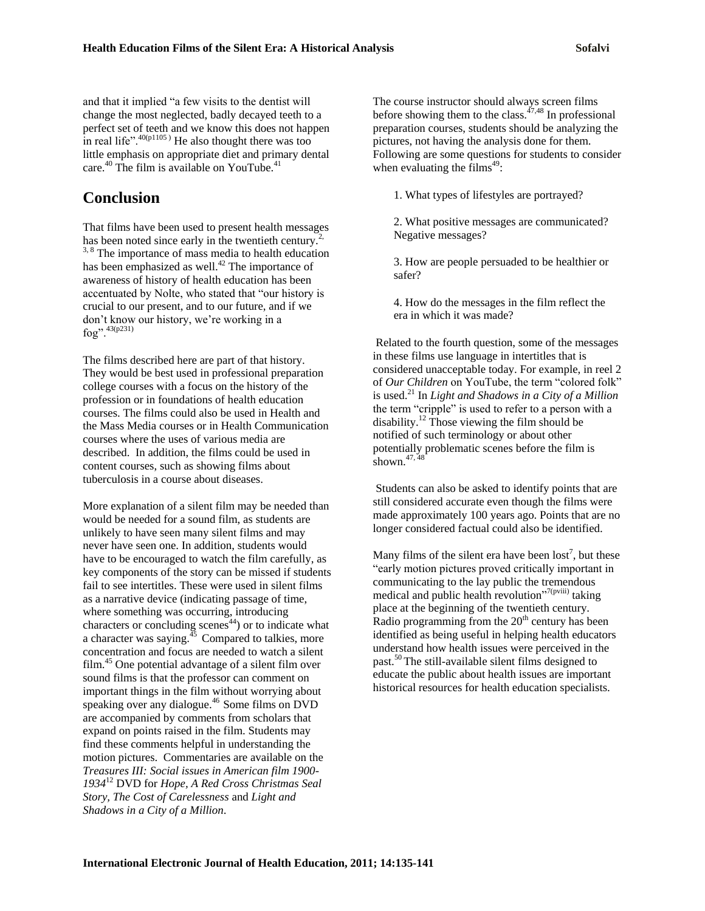and that it implied "a few visits to the dentist will change the most neglected, badly decayed teeth to a perfect set of teeth and we know this does not happen in real life". $40(p1105)$  He also thought there was too little emphasis on appropriate diet and primary dental care.<sup>40</sup> The film is available on YouTube.<sup>41</sup>

## **Conclusion**

That films have been used to present health messages has been noted since early in the twentieth century.<sup>2,</sup> <sup>3, 8</sup> The importance of mass media to health education has been emphasized as well.<sup>42</sup> The importance of awareness of history of health education has been accentuated by Nolte, who stated that "our history is crucial to our present, and to our future, and if we don"t know our history, we"re working in a  $f_0$ g".  $^{43(p231)}$ 

The films described here are part of that history. They would be best used in professional preparation college courses with a focus on the history of the profession or in foundations of health education courses. The films could also be used in Health and the Mass Media courses or in Health Communication courses where the uses of various media are described. In addition, the films could be used in content courses, such as showing films about tuberculosis in a course about diseases.

More explanation of a silent film may be needed than would be needed for a sound film, as students are unlikely to have seen many silent films and may never have seen one. In addition, students would have to be encouraged to watch the film carefully, as key components of the story can be missed if students fail to see intertitles. These were used in silent films as a narrative device (indicating passage of time, where something was occurring, introducing characters or concluding scenes $44$ ) or to indicate what a character was saying. $^{45}$  Compared to talkies, more concentration and focus are needed to watch a silent film.<sup>45</sup> One potential advantage of a silent film over sound films is that the professor can comment on important things in the film without worrying about speaking over any dialogue.<sup>46</sup> Some films on DVD are accompanied by comments from scholars that expand on points raised in the film. Students may find these comments helpful in understanding the motion pictures. Commentaries are available on the *Treasures III: Social issues in American film 1900- 1934*<sup>12</sup> DVD for *Hope, A Red Cross Christmas Seal Story, The Cost of Carelessness* and *Light and Shadows in a City of a Million*.

The course instructor should always screen films before showing them to the class.<sup> $47,48$ </sup> In professional preparation courses, students should be analyzing the pictures, not having the analysis done for them. Following are some questions for students to consider when evaluating the films<sup> $49$ </sup>:

1. What types of lifestyles are portrayed?

2. What positive messages are communicated? Negative messages?

3. How are people persuaded to be healthier or safer?

4. How do the messages in the film reflect the era in which it was made?

Related to the fourth question, some of the messages in these films use language in intertitles that is considered unacceptable today. For example, in reel 2 of *Our Children* on YouTube, the term "colored folk" is used.<sup>21</sup> In *Light and Shadows in a City of a Million* the term "cripple" is used to refer to a person with a disability.<sup>12</sup> Those viewing the film should be notified of such terminology or about other potentially problematic scenes before the film is shown. $47,48$ 

Students can also be asked to identify points that are still considered accurate even though the films were made approximately 100 years ago. Points that are no longer considered factual could also be identified.

Many films of the silent era have been  $\text{lost}^7$ , but these "early motion pictures proved critically important in communicating to the lay public the tremendous medical and public health revolution"<sup>7(pviii)</sup> taking place at the beginning of the twentieth century. Radio programming from the  $20<sup>th</sup>$  century has been identified as being useful in helping health educators understand how health issues were perceived in the past.<sup>50</sup>The still-available silent films designed to educate the public about health issues are important historical resources for health education specialists.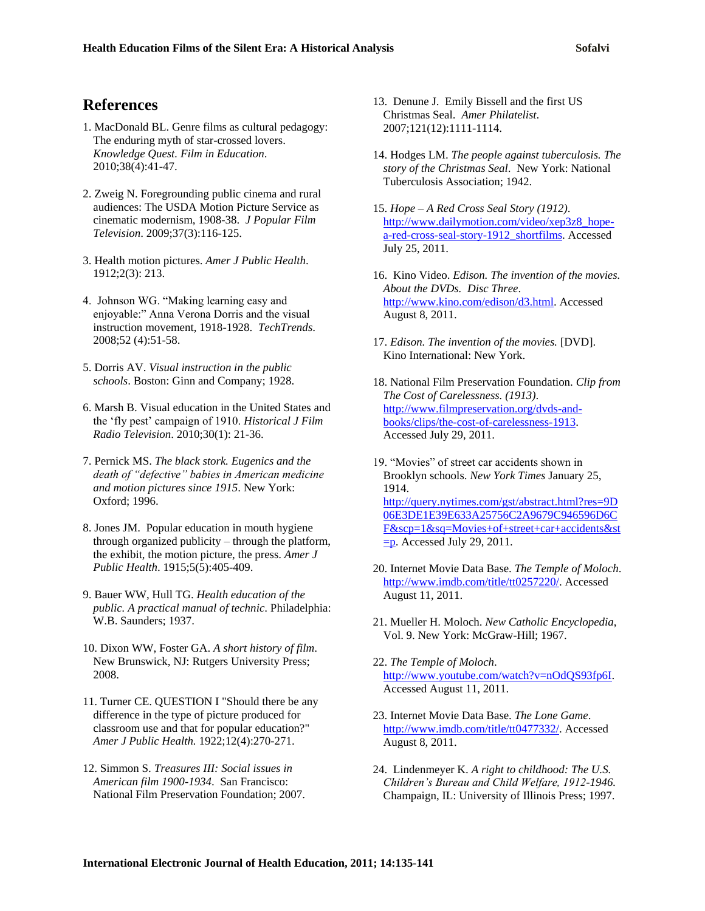## **References**

- 1. MacDonald BL. Genre films as cultural pedagogy: The enduring myth of star-crossed lovers. *Knowledge Quest. Film in Education*. 2010;38(4):41-47.
- 2. Zweig N. Foregrounding public cinema and rural audiences: The USDA Motion Picture Service as cinematic modernism, 1908-38. *J Popular Film Television*. 2009;37(3):116-125.
- 3. Health motion pictures. *Amer J Public Health*. 1912;2(3): 213.
- 4. Johnson WG. "Making learning easy and enjoyable:" Anna Verona Dorris and the visual instruction movement, 1918-1928. *TechTrends*. 2008;52 (4):51-58.
- 5. Dorris AV. *Visual instruction in the public schools*. Boston: Ginn and Company; 1928.
- 6. Marsh B. Visual education in the United States and the "fly pest" campaign of 1910. *Historical J Film Radio Television*. 2010;30(1): 21-36.
- 7. Pernick MS. *The black stork. Eugenics and the death of "defective" babies in American medicine and motion pictures since 1915*. New York: Oxford; 1996.
- 8. Jones JM. Popular education in mouth hygiene through organized publicity – through the platform, the exhibit, the motion picture, the press. *Amer J Public Health*. 1915;5(5):405-409.
- 9. Bauer WW, Hull TG. *Health education of the public. A practical manual of technic*. Philadelphia: W.B. Saunders; 1937.
- 10. Dixon WW, Foster GA. *A short history of film*. New Brunswick, NJ: Rutgers University Press; 2008.
- 11. Turner CE. QUESTION I "Should there be any difference in the type of picture produced for classroom use and that for popular education?" *Amer J Public Health.* 1922;12(4):270-271.
- 12. Simmon S. *Treasures III: Social issues in American film 1900-1934*. San Francisco: National Film Preservation Foundation; 2007.
- 13. Denune J. Emily Bissell and the first US Christmas Seal. *Amer Philatelist*. 2007;121(12):1111-1114.
- 14. Hodges LM. *The people against tuberculosis. The story of the Christmas Seal*. New York: National Tuberculosis Association; 1942.
- 15. *Hope – A Red Cross Seal Story (1912)*. [http://www.dailymotion.com/video/xep3z8\\_hope](http://www.dailymotion.com/video/xep3z8_hope-a-red-cross-seal-story-1912_shortfilms)[a-red-cross-seal-story-1912\\_shortfilms.](http://www.dailymotion.com/video/xep3z8_hope-a-red-cross-seal-story-1912_shortfilms) Accessed July 25, 2011.
- 16. Kino Video. *Edison. The invention of the movies. About the DVDs. Disc Three*. [http://www.kino.com/edison/d3.html.](http://www.kino.com/edison/d3.html) Accessed August 8, 2011.
- 17. *Edison. The invention of the movies.* [DVD]. Kino International: New York.
- 18. National Film Preservation Foundation. *Clip from The Cost of Carelessness. (1913)*. [http://www.filmpreservation.org/dvds-and](http://www.filmpreservation.org/dvds-and-books/clips/the-cost-of-carelessness-1913)[books/clips/the-cost-of-carelessness-1913.](http://www.filmpreservation.org/dvds-and-books/clips/the-cost-of-carelessness-1913) Accessed July 29, 2011.
- 19. "Movies" of street car accidents shown in Brooklyn schools. *New York Times* January 25, 1914. [http://query.nytimes.com/gst/abstract.html?res=9D](http://query.nytimes.com/gst/abstract.html?res=9D06E3DE1E39E633A25756C2A9679C946596D6CF&scp=1&sq=Movies+of+street+car+accidents&st=p) [06E3DE1E39E633A25756C2A9679C946596D6C](http://query.nytimes.com/gst/abstract.html?res=9D06E3DE1E39E633A25756C2A9679C946596D6CF&scp=1&sq=Movies+of+street+car+accidents&st=p) [F&scp=1&sq=Movies+of+street+car+accidents&st](http://query.nytimes.com/gst/abstract.html?res=9D06E3DE1E39E633A25756C2A9679C946596D6CF&scp=1&sq=Movies+of+street+car+accidents&st=p)  $\equiv$ **p**. Accessed July 29, 2011.
- 20. Internet Movie Data Base. *The Temple of Moloch*. [http://www.imdb.com/title/tt0257220/.](http://www.imdb.com/title/tt0257220/) Accessed August 11, 2011.
- 21. Mueller H. Moloch. *New Catholic Encyclopedia*, Vol. 9. New York: McGraw-Hill; 1967.
- 22. *The Temple of Moloch*. [http://www.youtube.com/watch?v=nOdQS93fp6I.](http://www.youtube.com/watch?v=nOdQS93fp6I) Accessed August 11, 2011.
- 23. Internet Movie Data Base. *The Lone Game*. [http://www.imdb.com/title/tt0477332/.](http://www.imdb.com/title/tt0477332/) Accessed August 8, 2011.
- 24. Lindenmeyer K. *A right to childhood: The U.S. Children's Bureau and Child Welfare, 1912-1946.* Champaign, IL: University of Illinois Press; 1997.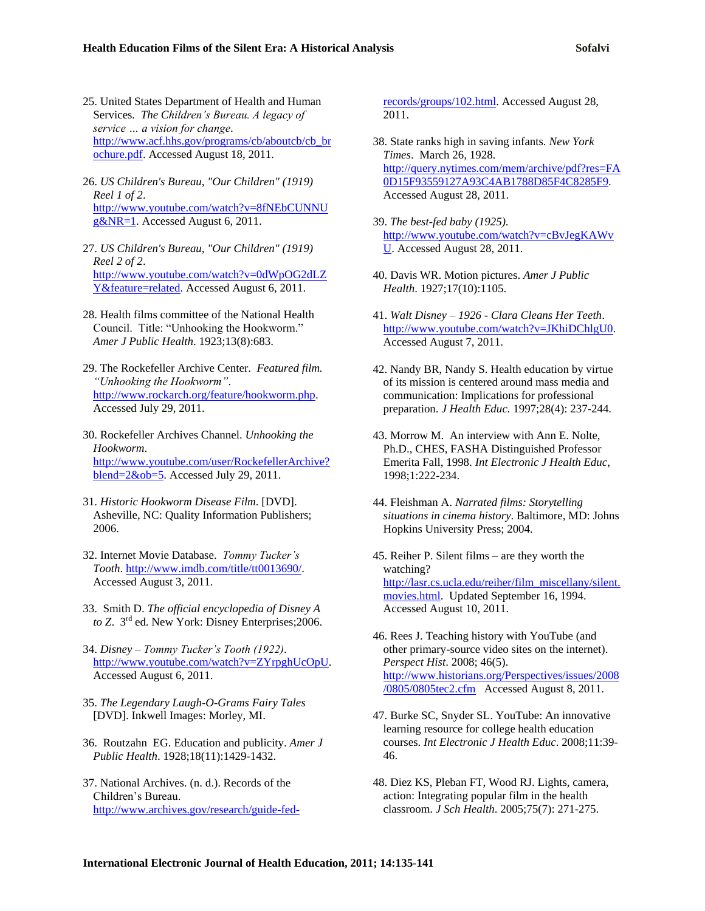- 25. United States Department of Health and Human Services*. The Children's Bureau. A legacy of service … a vision for change*. [http://www.acf.hhs.gov/programs/cb/aboutcb/cb\\_br](http://www.acf.hhs.gov/programs/cb/aboutcb/cb_brochure.pdf) [ochure.pdf.](http://www.acf.hhs.gov/programs/cb/aboutcb/cb_brochure.pdf) Accessed August 18, 2011.
- 26. *US Children's Bureau, "Our Children" (1919) Reel 1 of 2*. [http://www.youtube.com/watch?v=8fNEbCUNNU](http://www.youtube.com/watch?v=8fNEbCUNNUg&NR=1) [g&NR=1.](http://www.youtube.com/watch?v=8fNEbCUNNUg&NR=1) Accessed August 6, 2011.
- 27. *US Children's Bureau, "Our Children" (1919) Reel 2 of 2*. [http://www.youtube.com/watch?v=0dWpOG2dLZ](http://www.youtube.com/watch?v=0dWpOG2dLZY&feature=related) [Y&feature=related.](http://www.youtube.com/watch?v=0dWpOG2dLZY&feature=related) Accessed August 6, 2011.
- 28. Health films committee of the National Health Council. Title: "Unhooking the Hookworm." *Amer J Public Health*. 1923;13(8):683.
- 29. The Rockefeller Archive Center. *Featured film. "Unhooking the Hookworm"*. [http://www.rockarch.org/feature/hookworm.php.](http://www.rockarch.org/feature/hookworm.php) Accessed July 29, 2011.
- 30. Rockefeller Archives Channel. *Unhooking the Hookworm*. [http://www.youtube.com/user/RockefellerArchive?](http://www.youtube.com/user/RockefellerArchive?blend=2&ob=5)  $blend = 2&ob = 5$ . Accessed July 29, 2011.
- 31. *Historic Hookworm Disease Film*. [DVD]. Asheville, NC: Quality Information Publishers; 2006.
- 32. Internet Movie Database. *Tommy Tucker's Tooth*. [http://www.imdb.com/title/tt0013690/.](http://www.imdb.com/title/tt0013690/) Accessed August 3, 2011.
- 33. Smith D. *The official encyclopedia of Disney A to Z*. 3rd ed. New York: Disney Enterprises;2006.
- 34. *Disney – Tommy Tucker's Tooth (1922)*. [http://www.youtube.com/watch?v=ZYrpghUcOpU.](http://www.youtube.com/watch?v=ZYrpghUcOpU) Accessed August 6, 2011.
- 35. *The Legendary Laugh-O-Grams Fairy Tales* [DVD]. Inkwell Images: Morley, MI.
- 36. Routzahn EG. Education and publicity. *Amer J Public Health*. 1928;18(11):1429-1432.
- 37. National Archives. (n. d.). Records of the Children"s Bureau. [http://www.archives.gov/research/guide-fed-](http://www.archives.gov/research/guide-fed-records/groups/102.html)

[records/groups/102.html.](http://www.archives.gov/research/guide-fed-records/groups/102.html) Accessed August 28, 2011.

- 38. State ranks high in saving infants. *New York Times*. March 26, 1928. [http://query.nytimes.com/mem/archive/pdf?res=FA](http://query.nytimes.com/mem/archive/pdf?res=FA0D15F93559127A93C4AB1788D85F4C8285F9) [0D15F93559127A93C4AB1788D85F4C8285F9.](http://query.nytimes.com/mem/archive/pdf?res=FA0D15F93559127A93C4AB1788D85F4C8285F9) Accessed August 28, 2011.
- 39. *The best-fed baby (1925)*. [http://www.youtube.com/watch?v=cBvJegKAWv](http://www.youtube.com/watch?v=cBvJegKAWvU) [U.](http://www.youtube.com/watch?v=cBvJegKAWvU) Accessed August 28, 2011.
- 40. Davis WR. Motion pictures. *Amer J Public Health*. 1927;17(10):1105.
- 41. *Walt Disney – 1926 - Clara Cleans Her Teeth*. [http://www.youtube.com/watch?v=JKhiDChlgU0.](http://www.youtube.com/watch?v=JKhiDChlgU0) Accessed August 7, 2011.
- 42. Nandy BR, Nandy S. Health education by virtue of its mission is centered around mass media and communication: Implications for professional preparation. *J Health Educ.* 1997;28(4): 237-244.
- 43. Morrow M. An interview with Ann E. Nolte, Ph.D., CHES, FASHA Distinguished Professor Emerita Fall, 1998. *Int Electronic J Health Educ*, 1998;1:222-234.
- 44. Fleishman A. *Narrated films: Storytelling situations in cinema history*. Baltimore, MD: Johns Hopkins University Press; 2004.
- 45. Reiher P. Silent films are they worth the watching? [http://lasr.cs.ucla.edu/reiher/film\\_miscellany/silent.](http://lasr.cs.ucla.edu/reiher/film_miscellany/silent.movies.html) [movies.html.](http://lasr.cs.ucla.edu/reiher/film_miscellany/silent.movies.html) Updated September 16, 1994. Accessed August 10, 2011.
- 46. Rees J. Teaching history with YouTube (and other primary-source video sites on the internet). *Perspect Hist*. 2008; 46(5). [http://www.historians.org/Perspectives/issues/2008](http://www.historians.org/Perspectives/issues/2008/0805/0805tec2.cfm) [/0805/0805tec2.cfm](http://www.historians.org/Perspectives/issues/2008/0805/0805tec2.cfm) Accessed August 8, 2011.
- 47. Burke SC, Snyder SL. YouTube: An innovative learning resource for college health education courses. *Int Electronic J Health Educ*. 2008;11:39- 46.
- 48. Diez KS, Pleban FT, Wood RJ. Lights, camera, action: Integrating popular film in the health classroom. *J Sch Health*. 2005;75(7): 271-275.